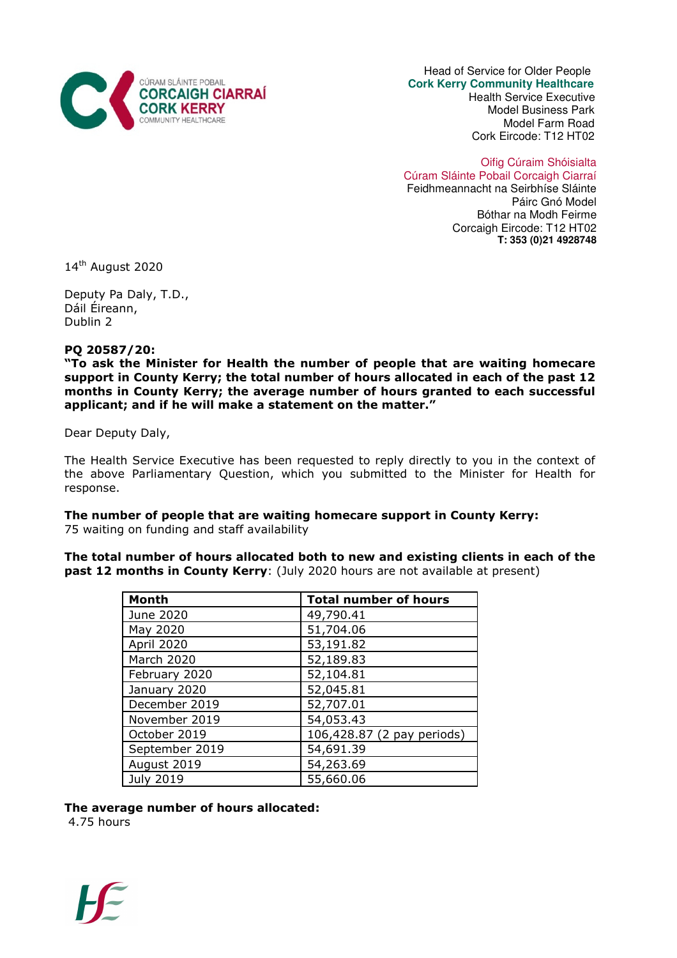

 Head of Service for Older People  **Cork Kerry Community Healthcare**  Health Service Executive

 Model Business Park Model Farm Road Cork Eircode: T12 HT02

Oifig Cúraim Shóisialta Cúram Sláinte Pobail Corcaigh Ciarraí Feidhmeannacht na Seirbhíse Sláinte Páirc Gnó Model Bóthar na Modh Feirme Corcaigh Eircode: T12 HT02 **T: 353 (0)21 4928748**

14<sup>th</sup> August 2020

Deputy Pa Daly, T.D., Dáil Éireann, Dublin 2

## PQ 20587/20:

"To ask the Minister for Health the number of people that are waiting homecare support in County Kerry; the total number of hours allocated in each of the past 12 months in County Kerry; the average number of hours granted to each successful applicant; and if he will make a statement on the matter."

Dear Deputy Daly,

The Health Service Executive has been requested to reply directly to you in the context of the above Parliamentary Question, which you submitted to the Minister for Health for response.

## The number of people that are waiting homecare support in County Kerry:

75 waiting on funding and staff availability

The total number of hours allocated both to new and existing clients in each of the **past 12 months in County Kerry:** (July 2020 hours are not available at present)

| <b>Month</b>     | <b>Total number of hours</b> |
|------------------|------------------------------|
| June 2020        | 49,790.41                    |
| May 2020         | 51,704.06                    |
| April 2020       | 53,191.82                    |
| March 2020       | 52,189.83                    |
| February 2020    | 52,104.81                    |
| January 2020     | 52,045.81                    |
| December 2019    | 52,707.01                    |
| November 2019    | 54,053.43                    |
| October 2019     | 106,428.87 (2 pay periods)   |
| September 2019   | 54,691.39                    |
| August 2019      | 54,263.69                    |
| <b>July 2019</b> | 55,660.06                    |

The average number of hours allocated:

4.75 hours